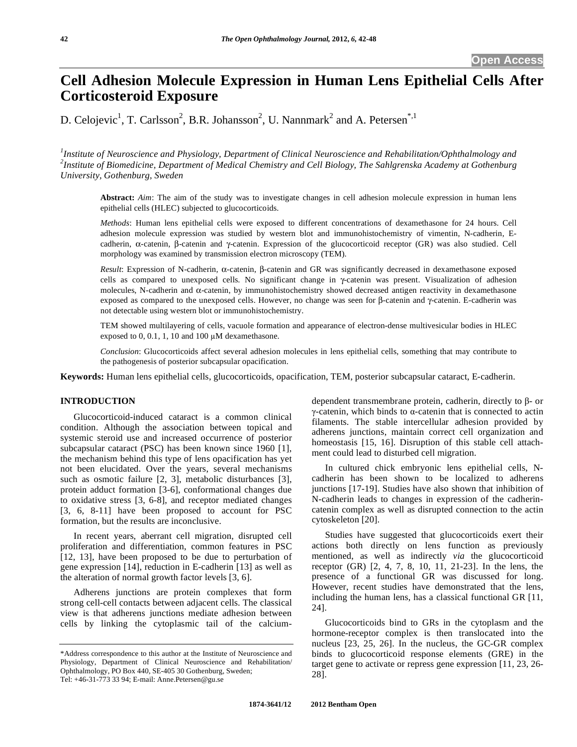# **Cell Adhesion Molecule Expression in Human Lens Epithelial Cells After Corticosteroid Exposure**

D. Celojevic<sup>1</sup>, T. Carlsson<sup>2</sup>, B.R. Johansson<sup>2</sup>, U. Nannmark<sup>2</sup> and A. Petersen<sup>\*,1</sup>

*1 Institute of Neuroscience and Physiology, Department of Clinical Neuroscience and Rehabilitation/Ophthalmology and 2 Institute of Biomedicine, Department of Medical Chemistry and Cell Biology, The Sahlgrenska Academy at Gothenburg University, Gothenburg, Sweden* 

**Abstract:** *Aim*: The aim of the study was to investigate changes in cell adhesion molecule expression in human lens epithelial cells (HLEC) subjected to glucocorticoids.

*Methods*: Human lens epithelial cells were exposed to different concentrations of dexamethasone for 24 hours. Cell adhesion molecule expression was studied by western blot and immunohistochemistry of vimentin, N-cadherin, Ecadherin,  $\alpha$ -catenin,  $\beta$ -catenin and  $\gamma$ -catenin. Expression of the glucocorticoid receptor (GR) was also studied. Cell morphology was examined by transmission electron microscopy (TEM).

 $Result$ : Expression of N-cadherin,  $\alpha$ -catenin,  $\beta$ -catenin and GR was significantly decreased in dexamethasone exposed cells as compared to unexposed cells. No significant change in y-catenin was present. Visualization of adhesion molecules, N-cadherin and  $\alpha$ -catenin, by immunohistochemistry showed decreased antigen reactivity in dexamethasone exposed as compared to the unexposed cells. However, no change was seen for  $\beta$ -catenin and  $\gamma$ -catenin. E-cadherin was not detectable using western blot or immunohistochemistry.

TEM showed multilayering of cells, vacuole formation and appearance of electron-dense multivesicular bodies in HLEC exposed to  $0, 0.1, 1, 10$  and  $100 \mu M$  dexamethasone.

*Conclusion*: Glucocorticoids affect several adhesion molecules in lens epithelial cells, something that may contribute to the pathogenesis of posterior subcapsular opacification.

**Keywords:** Human lens epithelial cells, glucocorticoids, opacification, TEM, posterior subcapsular cataract, E-cadherin.

# **INTRODUCTION**

 Glucocorticoid-induced cataract is a common clinical condition. Although the association between topical and systemic steroid use and increased occurrence of posterior subcapsular cataract (PSC) has been known since 1960 [1], the mechanism behind this type of lens opacification has yet not been elucidated. Over the years, several mechanisms such as osmotic failure [2, 3], metabolic disturbances [3], protein adduct formation [3-6], conformational changes due to oxidative stress [3, 6-8], and receptor mediated changes [3, 6, 8-11] have been proposed to account for PSC formation, but the results are inconclusive.

 In recent years, aberrant cell migration, disrupted cell proliferation and differentiation, common features in PSC [12, 13], have been proposed to be due to perturbation of gene expression [14], reduction in E-cadherin [13] as well as the alteration of normal growth factor levels [3, 6].

 Adherens junctions are protein complexes that form strong cell-cell contacts between adjacent cells. The classical view is that adherens junctions mediate adhesion between cells by linking the cytoplasmic tail of the calciumdependent transmembrane protein, cadherin, directly to  $\beta$ - or  $\gamma$ -catenin, which binds to  $\alpha$ -catenin that is connected to actin filaments. The stable intercellular adhesion provided by adherens junctions, maintain correct cell organization and homeostasis [15, 16]. Disruption of this stable cell attachment could lead to disturbed cell migration.

 In cultured chick embryonic lens epithelial cells, Ncadherin has been shown to be localized to adherens junctions [17-19]. Studies have also shown that inhibition of N-cadherin leads to changes in expression of the cadherincatenin complex as well as disrupted connection to the actin cytoskeleton [20].

 Studies have suggested that glucocorticoids exert their actions both directly on lens function as previously mentioned, as well as indirectly *via* the glucocorticoid receptor (GR) [2, 4, 7, 8, 10, 11, 21-23]. In the lens, the presence of a functional GR was discussed for long. However, recent studies have demonstrated that the lens, including the human lens, has a classical functional GR [11, 24].

 Glucocorticoids bind to GRs in the cytoplasm and the hormone-receptor complex is then translocated into the nucleus [23, 25, 26]. In the nucleus, the GC-GR complex binds to glucocorticoid response elements (GRE) in the target gene to activate or repress gene expression [11, 23, 26- 28].

<sup>\*</sup>Address correspondence to this author at the Institute of Neuroscience and Physiology, Department of Clinical Neuroscience and Rehabilitation/ Ophthalmology, PO Box 440, SE-405 30 Gothenburg, Sweden; Tel: +46-31-773 33 94; E-mail: Anne.Petersen@gu.se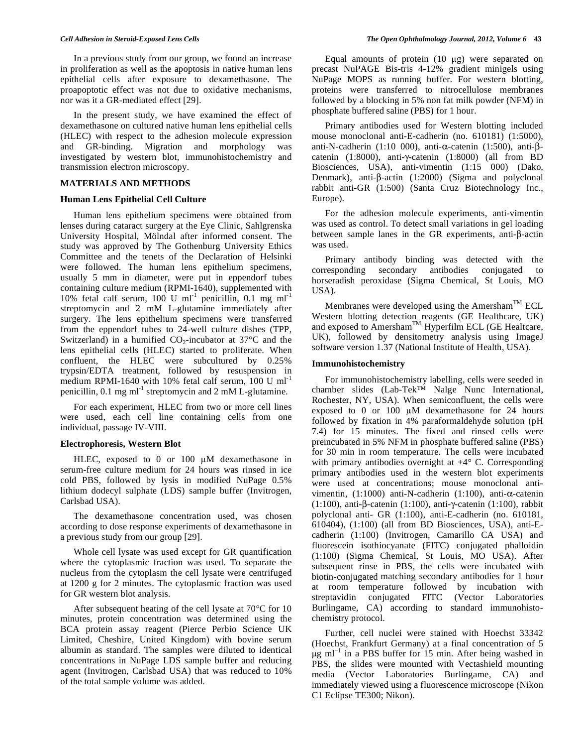In a previous study from our group, we found an increase in proliferation as well as the apoptosis in native human lens epithelial cells after exposure to dexamethasone. The proapoptotic effect was not due to oxidative mechanisms, nor was it a GR-mediated effect [29].

 In the present study, we have examined the effect of dexamethasone on cultured native human lens epithelial cells (HLEC) with respect to the adhesion molecule expression and GR-binding. Migration and morphology was investigated by western blot, immunohistochemistry and transmission electron microscopy.

#### **MATERIALS AND METHODS**

### **Human Lens Epithelial Cell Culture**

 Human lens epithelium specimens were obtained from lenses during cataract surgery at the Eye Clinic, Sahlgrenska University Hospital, Mölndal after informed consent. The study was approved by The Gothenburg University Ethics Committee and the tenets of the Declaration of Helsinki were followed. The human lens epithelium specimens, usually 5 mm in diameter, were put in eppendorf tubes containing culture medium (RPMI-1640), supplemented with 10% fetal calf serum, 100 U ml<sup>-1</sup> penicillin, 0.1 mg ml<sup>-1</sup> streptomycin and 2 mM L-glutamine immediately after surgery. The lens epithelium specimens were transferred from the eppendorf tubes to 24-well culture dishes (TPP, Switzerland) in a humified  $CO_2$ -incubator at 37°C and the lens epithelial cells (HLEC) started to proliferate. When confluent, the HLEC were subcultured by 0.25% trypsin/EDTA treatment, followed by resuspension in medium RPMI-1640 with 10% fetal calf serum, 100 U ml<sup>-1</sup> penicillin,  $0.1$  mg ml<sup>-1</sup> streptomycin and  $2 \text{ mM } L$ -glutamine.

 For each experiment, HLEC from two or more cell lines were used, each cell line containing cells from one individual, passage IV-VIII.

## **Electrophoresis, Western Blot**

HLEC, exposed to 0 or 100  $\mu$ M dexamethasone in serum-free culture medium for 24 hours was rinsed in ice cold PBS, followed by lysis in modified NuPage 0.5% lithium dodecyl sulphate (LDS) sample buffer (Invitrogen, Carlsbad USA).

 The dexamethasone concentration used, was chosen according to dose response experiments of dexamethasone in a previous study from our group [29].

 Whole cell lysate was used except for GR quantification where the cytoplasmic fraction was used. To separate the nucleus from the cytoplasm the cell lysate were centrifuged at 1200 g for 2 minutes. The cytoplasmic fraction was used for GR western blot analysis.

 After subsequent heating of the cell lysate at 70°C for 10 minutes, protein concentration was determined using the BCA protein assay reagent (Pierce Perbio Science UK Limited, Cheshire, United Kingdom) with bovine serum albumin as standard. The samples were diluted to identical concentrations in NuPage LDS sample buffer and reducing agent (Invitrogen, Carlsbad USA) that was reduced to 10% of the total sample volume was added.

Equal amounts of protein  $(10 \mu g)$  were separated on precast NuPAGE Bis-tris 4-12% gradient minigels using NuPage MOPS as running buffer. For western blotting, proteins were transferred to nitrocellulose membranes followed by a blocking in 5% non fat milk powder (NFM) in phosphate buffered saline (PBS) for 1 hour.

 Primary antibodies used for Western blotting included mouse monoclonal anti-E-cadherin (no. 610181) (1:5000), anti-N-cadherin (1:10 000), anti- $\alpha$ -catenin (1:500), anti- $\beta$ catenin  $(1:8000)$ , anti- $\gamma$ -catenin  $(1:8000)$  (all from BD Biosciences, USA), anti-vimentin (1:15 000) (Dako, Denmark), anti- $\beta$ -actin (1:2000) (Sigma and polyclonal rabbit anti-GR (1:500) (Santa Cruz Biotechnology Inc., Europe).

 For the adhesion molecule experiments, anti-vimentin was used as control. To detect small variations in gel loading between sample lanes in the GR experiments, anti- $\beta$ -actin was used.

 Primary antibody binding was detected with the corresponding secondary antibodies conjugated to horseradish peroxidase (Sigma Chemical, St Louis, MO USA).

Membranes were developed using the Amersham<sup>TM</sup> ECL Western blotting detection reagents (GE Healthcare, UK) and exposed to Amersham<sup>TM</sup> Hyperfilm ECL (GE Healtcare, UK), followed by densitometry analysis using ImageJ software version 1.37 (National Institute of Health, USA).

## **Immunohistochemistry**

 For immunohistochemistry labelling, cells were seeded in chamber slides (Lab-Tek™ Nalge Nunc International, Rochester, NY, USA). When semiconfluent, the cells were exposed to 0 or 100  $\mu$ M dexamethasone for 24 hours followed by fixation in 4% paraformaldehyde solution (pH 7.4) for 15 minutes. The fixed and rinsed cells were preincubated in 5% NFM in phosphate buffered saline (PBS) for 30 min in room temperature. The cells were incubated with primary antibodies overnight at +4° C. Corresponding primary antibodies used in the western blot experiments were used at concentrations; mouse monoclonal antivimentin,  $(1:1000)$  anti-N-cadherin  $(1:100)$ , anti- $\alpha$ -catenin  $(1:100)$ , anti- $\beta$ -catenin  $(1:100)$ , anti- $\gamma$ -catenin  $(1:100)$ , rabbit polyclonal anti- GR (1:100), anti-E-cadherin (no. 610181, 610404), (1:100) (all from BD Biosciences, USA), anti-Ecadherin (1:100) (Invitrogen, Camarillo CA USA) and fluorescein isothiocyanate (FITC) conjugated phalloidin (1:100) (Sigma Chemical, St Louis, MO USA). After subsequent rinse in PBS, the cells were incubated with biotin-conjugated matching secondary antibodies for 1 hour at room temperature followed by incubation with streptavidin conjugated FITC (Vector Laboratories Burlingame, CA) according to standard immunohistochemistry protocol.

 Further, cell nuclei were stained with Hoechst 33342 (Hoechst, Frankfurt Germany) at a final concentration of 5  $\mu$ g ml<sup>-1</sup> in a PBS buffer for 15 min. After being washed in PBS, the slides were mounted with Vectashield mounting media (Vector Laboratories Burlingame, CA) and immediately viewed using a fluorescence microscope (Nikon C1 Eclipse TE300; Nikon).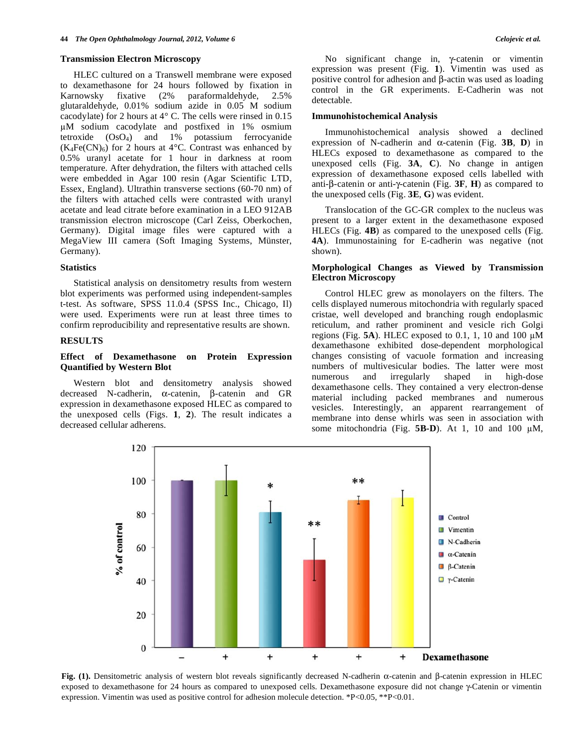#### **Transmission Electron Microscopy**

 HLEC cultured on a Transwell membrane were exposed to dexamethasone for 24 hours followed by fixation in Karnowsky fixative (2% paraformaldehyde, 2.5% glutaraldehyde, 0.01% sodium azide in 0.05 M sodium cacodylate) for 2 hours at 4° C. The cells were rinsed in 0.15 M sodium cacodylate and postfixed in 1% osmium tetroxide (OsO4) and 1% potassium ferrocyanide  $(K_4Fe(CN)_6)$  for 2 hours at 4°C. Contrast was enhanced by 0.5% uranyl acetate for 1 hour in darkness at room temperature. After dehydration, the filters with attached cells were embedded in Agar 100 resin (Agar Scientific LTD, Essex, England). Ultrathin transverse sections (60-70 nm) of the filters with attached cells were contrasted with uranyl acetate and lead citrate before examination in a LEO 912AB transmission electron microscope (Carl Zeiss, Oberkochen, Germany). Digital image files were captured with a MegaView III camera (Soft Imaging Systems, Münster, Germany).

# **Statistics**

 Statistical analysis on densitometry results from western blot experiments was performed using independent-samples t-test. As software, SPSS 11.0.4 (SPSS Inc., Chicago, Il) were used. Experiments were run at least three times to confirm reproducibility and representative results are shown.

# **RESULTS**

# **Effect of Dexamethasone on Protein Expression Quantified by Western Blot**

 Western blot and densitometry analysis showed decreased N-cadherin,  $\alpha$ -catenin,  $\beta$ -catenin and GR expression in dexamethasone exposed HLEC as compared to the unexposed cells (Figs. **1**, **2**). The result indicates a decreased cellular adherens.

No significant change in,  $\gamma$ -catenin or vimentin expression was present (Fig. **1**). Vimentin was used as positive control for adhesion and  $\beta$ -actin was used as loading control in the GR experiments. E-Cadherin was not detectable.

#### **Immunohistochemical Analysis**

 Immunohistochemical analysis showed a declined expression of N-cadherin and  $\alpha$ -catenin (Fig. 3B, D) in HLECs exposed to dexamethasone as compared to the unexposed cells (Fig. **3A**, **C**). No change in antigen expression of dexamethasone exposed cells labelled with anti- $\beta$ -catenin or anti- $\gamma$ -catenin (Fig. **3F**, **H**) as compared to the unexposed cells (Fig. **3E**, **G**) was evident.

 Translocation of the GC-GR complex to the nucleus was present to a larger extent in the dexamethasone exposed HLECs (Fig. **4B**) as compared to the unexposed cells (Fig. **4A**). Immunostaining for E-cadherin was negative (not shown).

# **Morphological Changes as Viewed by Transmission Electron Microscopy**

 Control HLEC grew as monolayers on the filters. The cells displayed numerous mitochondria with regularly spaced cristae, well developed and branching rough endoplasmic reticulum, and rather prominent and vesicle rich Golgi regions (Fig.  $5A$ ). HLEC exposed to 0.1, 1, 10 and 100  $\mu$ M dexamethasone exhibited dose-dependent morphological changes consisting of vacuole formation and increasing numbers of multivesicular bodies. The latter were most numerous and irregularly shaped in high-dose dexamethasone cells. They contained a very electron-dense material including packed membranes and numerous vesicles. Interestingly, an apparent rearrangement of membrane into dense whirls was seen in association with some mitochondria (Fig.  $5B-D$ ). At 1, 10 and 100  $\mu$ M,



**Fig. (1).** Densitometric analysis of western blot reveals significantly decreased N-cadherin α-catenin and β-catenin expression in HLEC exposed to dexamethasone for 24 hours as compared to unexposed cells. Dexamethasone exposure did not change  $\gamma$ -Catenin or vimentin expression. Vimentin was used as positive control for adhesion molecule detection. \*P<0.05, \*\*P<0.01.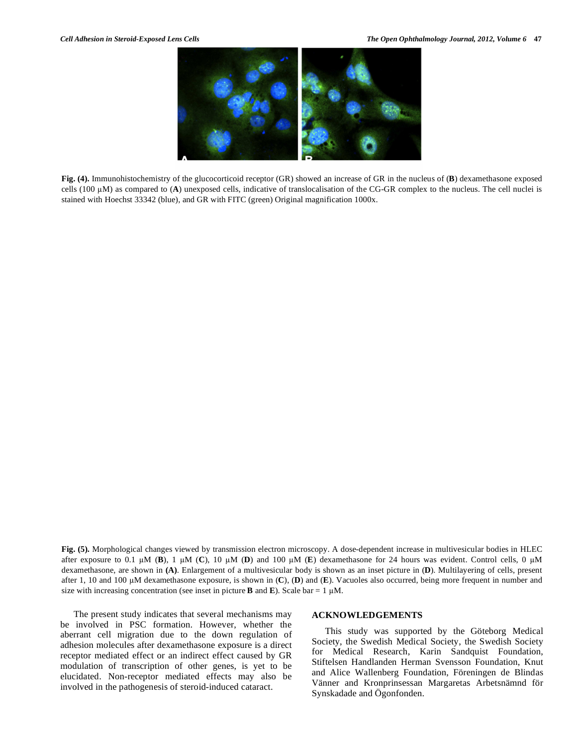**Fig. (4).** Immunohistochemistry of the glucocorticoid receptor (GR) showed an increase of GR in the nucleus of (**B**) dexamethasone exposed cells (100 M) as compared to (**A**) unexposed cells, indicative of translocalisation of the CG-GR complex to the nucleus. The cell nuclei is stained with Hoechst 33342 (blue), and GR with FITC (green) Original magnification 1000x.

**Fig. (5).** Morphological changes viewed by transmission electron microscopy. A dose-dependent increase in multivesicular bodies in HLEC after exposure to 0.1  $\mu$ M (**B**), 1  $\mu$ M (**C**), 10  $\mu$ M (**D**) and 100  $\mu$ M (**E**) dexamethasone for 24 hours was evident. Control cells, 0  $\mu$ M dexamethasone, are shown in **(A)**. Enlargement of a multivesicular body is shown as an inset picture in (**D**). Multilayering of cells, present after 1, 10 and 100  $\mu$ M dexamethasone exposure, is shown in  $(C)$ ,  $(D)$  and  $(E)$ . Vacuoles also occurred, being more frequent in number and size with increasing concentration (see inset in picture **B** and **E**). Scale bar = 1  $\mu$ M.

 The present study indicates that several mechanisms may be involved in PSC formation. However, whether the aberrant cell migration due to the down regulation of adhesion molecules after dexamethasone exposure is a direct receptor mediated effect or an indirect effect caused by GR modulation of transcription of other genes, is yet to be elucidated. Non-receptor mediated effects may also be involved in the pathogenesis of steroid-induced cataract.

# **ACKNOWLEDGEMENTS**

 This study was supported by the Göteborg Medical Society, the Swedish Medical Society, the Swedish Society for Medical Research, Karin Sandquist Foundation, Stiftelsen Handlanden Herman Svensson Foundation, Knut and Alice Wallenberg Foundation, Föreningen de Blindas Vänner and Kronprinsessan Margaretas Arbetsnämnd för Synskadade and Ögonfonden.